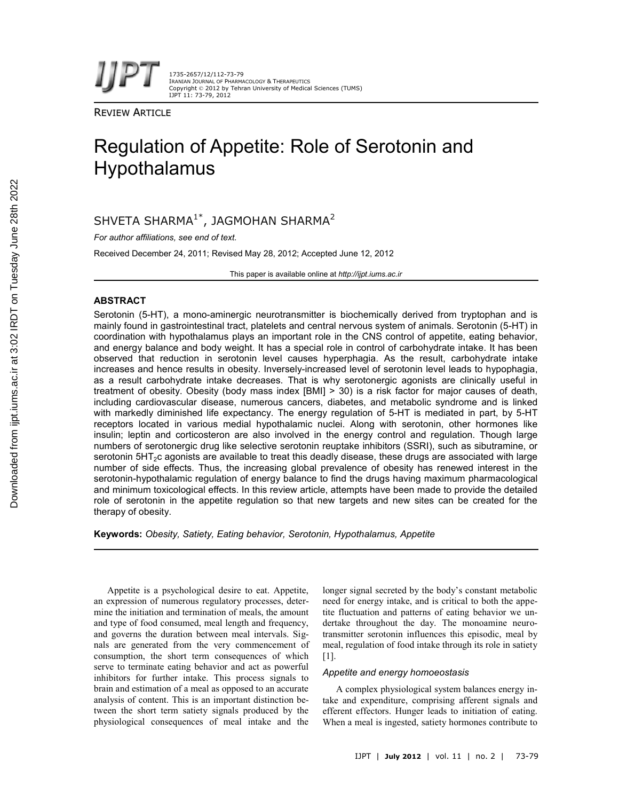1735-2657/12/112-73-79 IRANIAN JOURNAL OF PHARMACOLOGY & THERAPEUTICS Copyright © 2012 by Tehran University of Medical Sciences (TUMS) IJPT 11: 73-79, 2012

REVIEW ARTICLE

# Regulation of Appetite: Role of Serotonin and Hypothalamus

SHVETA SHARMA $1^*$ , JAGMOHAN SHARMA $^2$ 

*For author affiliations, see end of text.*

Received December 24, 2011; Revised May 28, 2012; Accepted June 12, 2012

This paper is available online at *http://ijpt.iums.ac.ir*

# **ABSTRACT**

Serotonin (5-HT), a mono-aminergic neurotransmitter is biochemically derived from tryptophan and is mainly found in gastrointestinal tract, platelets and central nervous system of animals. Serotonin (5-HT) in coordination with hypothalamus plays an important role in the CNS control of appetite, eating behavior, and energy balance and body weight. It has a special role in control of carbohydrate intake. It has been observed that reduction in serotonin level causes hyperphagia. As the result, carbohydrate intake increases and hence results in obesity. Inversely-increased level of serotonin level leads to hypophagia, as a result carbohydrate intake decreases. That is why serotonergic agonists are clinically useful in treatment of obesity. Obesity (body mass index [BMI] > 30) is a risk factor for major causes of death, including cardiovascular disease, numerous cancers, diabetes, and metabolic syndrome and is linked with markedly diminished life expectancy. The energy regulation of 5-HT is mediated in part, by 5-HT receptors located in various medial hypothalamic nuclei. Along with serotonin, other hormones like insulin; leptin and corticosteron are also involved in the energy control and regulation. Though large numbers of serotonergic drug like selective serotonin reuptake inhibitors (SSRI), such as sibutramine, or serotonin 5HT<sub>2</sub>c agonists are available to treat this deadly disease, these drugs are associated with large number of side effects. Thus, the increasing global prevalence of obesity has renewed interest in the serotonin-hypothalamic regulation of energy balance to find the drugs having maximum pharmacological and minimum toxicological effects. In this review article, attempts have been made to provide the detailed role of serotonin in the appetite regulation so that new targets and new sites can be created for the therapy of obesity.

**Keywords:** *Obesity, Satiety, Eating behavior, Serotonin, Hypothalamus, Appetite*

Appetite is a psychological desire to eat. Appetite, an expression of numerous regulatory processes, determine the initiation and termination of meals, the amount and type of food consumed, meal length and frequency, and governs the duration between meal intervals. Signals are generated from the very commencement of consumption, the short term consequences of which serve to terminate eating behavior and act as powerful inhibitors for further intake. This process signals to brain and estimation of a meal as opposed to an accurate analysis of content. This is an important distinction between the short term satiety signals produced by the physiological consequences of meal intake and the

longer signal secreted by the body's constant metabolic need for energy intake, and is critical to both the appetite fluctuation and patterns of eating behavior we undertake throughout the day. The monoamine neurotransmitter serotonin influences this episodic, meal by meal, regulation of food intake through its role in satiety [1].

#### *Appetite and energy homoeostasis*

A complex physiological system balances energy intake and expenditure, comprising afferent signals and efferent effectors. Hunger leads to initiation of eating. When a meal is ingested, satiety hormones contribute to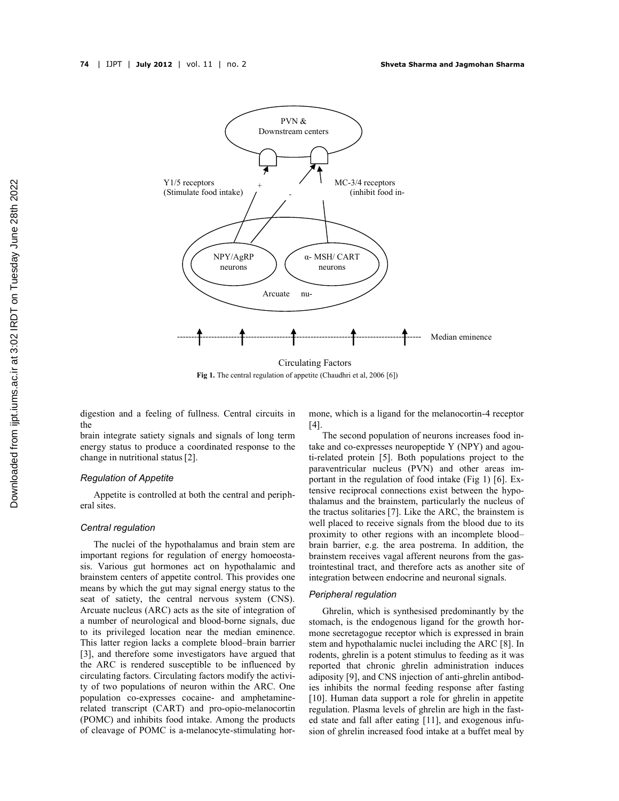

**Fig 1.** The central regulation of appetite (Chaudhri et al, 2006 [6])

digestion and a feeling of fullness. Central circuits in the

brain integrate satiety signals and signals of long term energy status to produce a coordinated response to the change in nutritional status[2].

#### *Regulation of Appetite*

Appetite is controlled at both the central and peripheral sites.

#### *Central regulation*

The nuclei of the hypothalamus and brain stem are important regions for regulation of energy homoeostasis. Various gut hormones act on hypothalamic and brainstem centers of appetite control. This provides one means by which the gut may signal energy status to the seat of satiety, the central nervous system (CNS). Arcuate nucleus (ARC) acts as the site of integration of a number of neurological and blood-borne signals, due to its privileged location near the median eminence. This latter region lacks a complete blood–brain barrier [3], and therefore some investigators have argued that the ARC is rendered susceptible to be influenced by circulating factors. Circulating factors modify the activity of two populations of neuron within the ARC. One population co-expresses cocaine- and amphetaminerelated transcript (CART) and pro-opio-melanocortin (POMC) and inhibits food intake. Among the products of cleavage of POMC is a-melanocyte-stimulating hormone, which is a ligand for the melanocortin-4 receptor [4].

The second population of neurons increases food intake and co-expresses neuropeptide Y (NPY) and agouti-related protein [5]. Both populations project to the paraventricular nucleus (PVN) and other areas important in the regulation of food intake (Fig 1) [6]. Extensive reciprocal connections exist between the hypothalamus and the brainstem, particularly the nucleus of the tractus solitaries [7]. Like the ARC, the brainstem is well placed to receive signals from the blood due to its proximity to other regions with an incomplete blood– brain barrier, e.g. the area postrema. In addition, the brainstem receives vagal afferent neurons from the gastrointestinal tract, and therefore acts as another site of integration between endocrine and neuronal signals.

#### *Peripheral regulation*

Ghrelin, which is synthesised predominantly by the stomach, is the endogenous ligand for the growth hormone secretagogue receptor which is expressed in brain stem and hypothalamic nuclei including the ARC [8]. In rodents, ghrelin is a potent stimulus to feeding as it was reported that chronic ghrelin administration induces adiposity [9], and CNS injection of anti-ghrelin antibodies inhibits the normal feeding response after fasting [10]. Human data support a role for ghrelin in appetite regulation. Plasma levels of ghrelin are high in the fasted state and fall after eating [11], and exogenous infusion of ghrelin increased food intake at a buffet meal by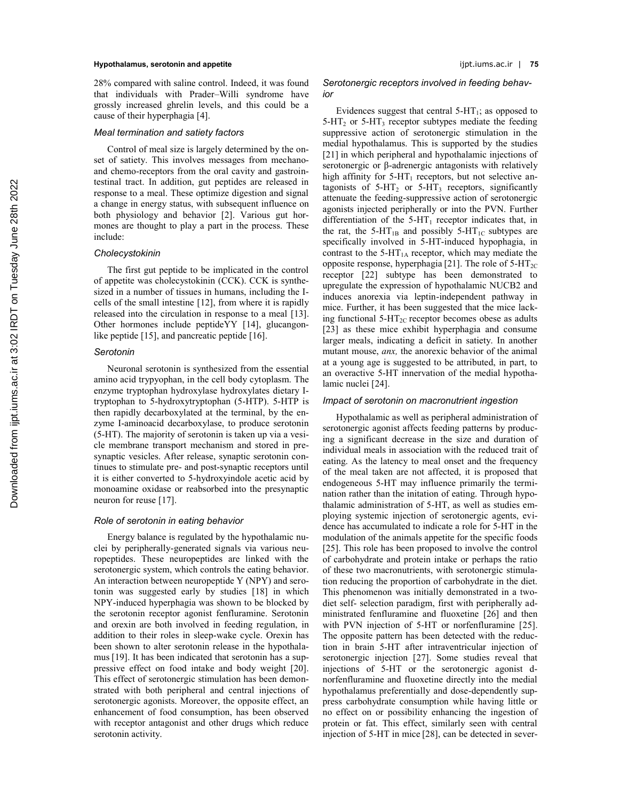#### **Hypothalamus, serotonin and appetite** ijpt.iums.ac.ir | **75**

28% compared with saline control. Indeed, it was found that individuals with Prader–Willi syndrome have grossly increased ghrelin levels, and this could be a cause of their hyperphagia [4].

#### *Meal termination and satiety factors*

Control of meal size is largely determined by the onset of satiety. This involves messages from mechanoand chemo-receptors from the oral cavity and gastrointestinal tract. In addition, gut peptides are released in response to a meal. These optimize digestion and signal a change in energy status, with subsequent influence on both physiology and behavior [2]. Various gut hormones are thought to play a part in the process. These include:

#### *Cholecystokinin*

The first gut peptide to be implicated in the control of appetite was cholecystokinin (CCK). CCK is synthesized in a number of tissues in humans, including the Icells of the small intestine [12], from where it is rapidly released into the circulation in response to a meal [13]. Other hormones include peptideYY [14], glucangonlike peptide [15], and pancreatic peptide [16].

#### *Serotonin*

Neuronal serotonin is synthesized from the essential amino acid trypyophan, in the cell body cytoplasm. The enzyme tryptophan hydroxylase hydroxylates dietary Itryptophan to 5-hydroxytryptophan (5-HTP). 5-HTP is then rapidly decarboxylated at the terminal, by the enzyme I-aminoacid decarboxylase, to produce serotonin (5-HT). The majority of serotonin is taken up via a vesicle membrane transport mechanism and stored in presynaptic vesicles. After release, synaptic serotonin continues to stimulate pre- and post-synaptic receptors until it is either converted to 5-hydroxyindole acetic acid by monoamine oxidase or reabsorbed into the presynaptic neuron for reuse [17].

#### *Role of serotonin in eating behavior*

Energy balance is regulated by the hypothalamic nuclei by peripherally-generated signals via various neuropeptides. These neuropeptides are linked with the serotonergic system, which controls the eating behavior. An interaction between neuropeptide Y (NPY) and serotonin was suggested early by studies [18] in which NPY-induced hyperphagia was shown to be blocked by the serotonin receptor agonist fenfluramine. Serotonin and orexin are both involved in feeding regulation, in addition to their roles in sleep-wake cycle. Orexin has been shown to alter serotonin release in the hypothalamus [19]. It has been indicated that serotonin has a suppressive effect on food intake and body weight [20]. This effect of serotonergic stimulation has been demonstrated with both peripheral and central injections of serotonergic agonists. Moreover, the opposite effect, an enhancement of food consumption, has been observed with receptor antagonist and other drugs which reduce serotonin activity.

#### *Serotonergic receptors involved in feeding behavior*

Evidences suggest that central  $5-HT_1$ ; as opposed to  $5-HT<sub>2</sub>$  or  $5-HT<sub>3</sub>$  receptor subtypes mediate the feeding suppressive action of serotonergic stimulation in the medial hypothalamus. This is supported by the studies [21] in which peripheral and hypothalamic injections of serotonergic or β-adrenergic antagonists with relatively high affinity for  $5-HT_1$  receptors, but not selective antagonists of  $5-HT_2$  or  $5-HT_3$  receptors, significantly attenuate the feeding-suppressive action of serotonergic agonists injected peripherally or into the PVN. Further differentiation of the  $5-HT_1$  receptor indicates that, in the rat, the 5-HT<sub>1B</sub> and possibly 5-HT<sub>1C</sub> subtypes are specifically involved in 5-HT-induced hypophagia, in contrast to the 5-HT<sub>1A</sub> receptor, which may mediate the opposite response, hyperphagia [21]. The role of  $5-HT_{2C}$ receptor [22] subtype has been demonstrated to upregulate the expression of hypothalamic NUCB2 and induces anorexia via leptin-independent pathway in mice. Further, it has been suggested that the mice lacking functional  $5-\text{HT}_{2C}$  receptor becomes obese as adults [23] as these mice exhibit hyperphagia and consume larger meals, indicating a deficit in satiety. In another mutant mouse, *anx,* the anorexic behavior of the animal at a young age is suggested to be attributed, in part, to an overactive 5-HT innervation of the medial hypothalamic nuclei [24].

### *Impact of serotonin on macronutrient ingestion*

Hypothalamic as well as peripheral administration of serotonergic agonist affects feeding patterns by producing a significant decrease in the size and duration of individual meals in association with the reduced trait of eating. As the latency to meal onset and the frequency of the meal taken are not affected, it is proposed that endogeneous 5-HT may influence primarily the termination rather than the initation of eating. Through hypothalamic administration of 5-HT, as well as studies employing systemic injection of serotonergic agents, evidence has accumulated to indicate a role for 5-HT in the modulation of the animals appetite for the specific foods [25]. This role has been proposed to involve the control of carbohydrate and protein intake or perhaps the ratio of these two macronutrients, with serotonergic stimulation reducing the proportion of carbohydrate in the diet. This phenomenon was initially demonstrated in a twodiet self- selection paradigm, first with peripherally administrated fenfluramine and fluoxetine [26] and then with PVN injection of 5-HT or norfenfluramine [25]. The opposite pattern has been detected with the reduction in brain 5-HT after intraventricular injection of serotonergic injection [27]. Some studies reveal that injections of 5-HT or the serotonergic agonist dnorfenfluramine and fluoxetine directly into the medial hypothalamus preferentially and dose-dependently suppress carbohydrate consumption while having little or no effect on or possibility enhancing the ingestion of protein or fat. This effect, similarly seen with central injection of 5-HT in mice [28], can be detected in sever-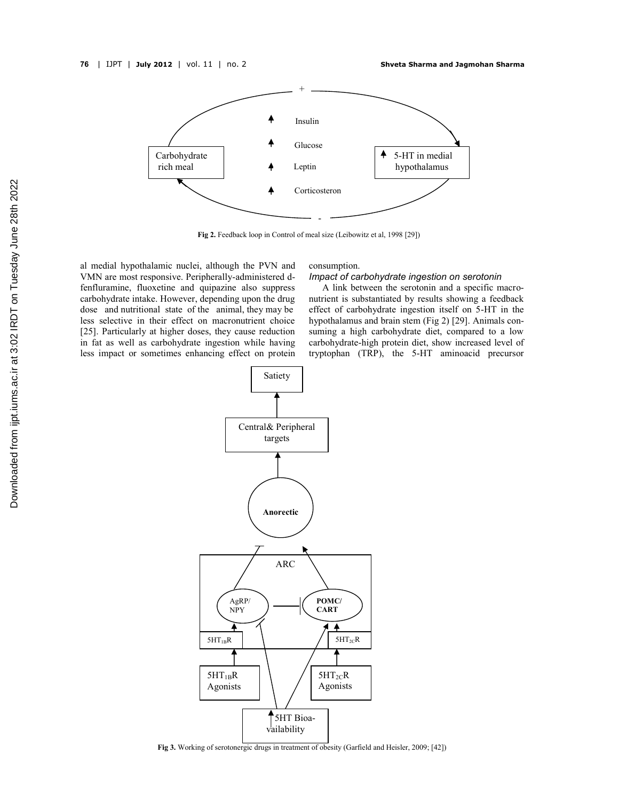

**Fig 2.** Feedback loop in Control of meal size (Leibowitz et al, 1998 [29])

al medial hypothalamic nuclei, although the PVN and VMN are most responsive. Peripherally-administered dfenfluramine, fluoxetine and quipazine also suppress carbohydrate intake. However, depending upon the drug dose and nutritional state of the animal, they may be less selective in their effect on macronutrient choice [25]. Particularly at higher doses, they cause reduction in fat as well as carbohydrate ingestion while having less impact or sometimes enhancing effect on protein

#### consumption.

#### *Impact of carbohydrate ingestion on serotonin*

A link between the serotonin and a specific macronutrient is substantiated by results showing a feedback effect of carbohydrate ingestion itself on 5-HT in the hypothalamus and brain stem (Fig 2) [29]. Animals consuming a high carbohydrate diet, compared to a low carbohydrate-high protein diet, show increased level of tryptophan (TRP), the 5-HT aminoacid precursor



Fig 3. Working of serotonergic drugs in treatment of obesity (Garfield and Heisler, 2009; [42])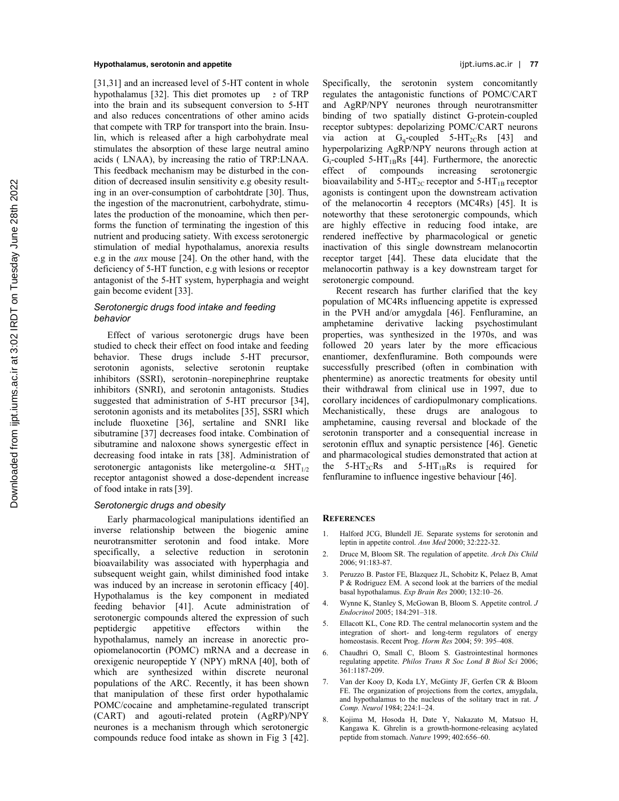#### **Hypothalamus, serotonin and appetite** ijpt.iums.ac.ir | **77**

[31,31] and an increased level of 5-HT content in whole hypothalamus [32]. This diet promotes up  $\rightarrow$  of TRP into the brain and its subsequent conversion to 5-HT and also reduces concentrations of other amino acids that compete with TRP for transport into the brain. Insulin, which is released after a high carbohydrate meal stimulates the absorption of these large neutral amino acids ( LNAA), by increasing the ratio of TRP:LNAA. This feedback mechanism may be disturbed in the condition of decreased insulin sensitivity e.g obesity resulting in an over-consumption of carbohtdrate [30]. Thus, the ingestion of the macronutrient, carbohydrate, stimulates the production of the monoamine, which then performs the function of terminating the ingestion of this nutrient and producing satiety. With excess serotonergic stimulation of medial hypothalamus, anorexia results e.g in the *anx* mouse [24]. On the other hand, with the deficiency of 5-HT function, e.g with lesions or receptor antagonist of the 5-HT system, hyperphagia and weight gain become evident [33].

### *Serotonergic drugs food intake and feeding behavior*

Effect of various serotonergic drugs have been studied to check their effect on food intake and feeding behavior. These drugs include 5-HT precursor, serotonin agonists, selective serotonin reuptake inhibitors (SSRI), serotonin–norepinephrine reuptake inhibitors (SNRI), and serotonin antagonists. Studies suggested that administration of 5-HT precursor [34], serotonin agonists and its metabolites [35], SSRI which include fluoxetine [36], sertaline and SNRI like sibutramine [37] decreases food intake. Combination of sibutramine and naloxone shows synergestic effect in decreasing food intake in rats [38]. Administration of serotonergic antagonists like metergoline- $\alpha$  5HT<sub>1/2</sub> receptor antagonist showed a dose-dependent increase of food intake in rats[39].

# *Serotonergic drugs and obesity*

Early pharmacological manipulations identified an inverse relationship between the biogenic amine neurotransmitter serotonin and food intake. More specifically, a selective reduction in serotonin bioavailability was associated with hyperphagia and subsequent weight gain, whilst diminished food intake was induced by an increase in serotonin efficacy [40]. Hypothalamus is the key component in mediated feeding behavior [41]. Acute administration of serotonergic compounds altered the expression of such peptidergic appetitive effectors within the hypothalamus, namely an increase in anorectic proopiomelanocortin (POMC) mRNA and a decrease in orexigenic neuropeptide Y (NPY) mRNA [40], both of which are synthesized within discrete neuronal populations of the ARC. Recently, it has been shown that manipulation of these first order hypothalamic POMC/cocaine and amphetamine-regulated transcript (CART) and agouti-related protein (AgRP)/NPY neurones is a mechanism through which serotonergic compounds reduce food intake as shown in Fig 3 [42].

Specifically, the serotonin system concomitantly regulates the antagonistic functions of POMC/CART and AgRP/NPY neurones through neurotransmitter binding of two spatially distinct G-protein-coupled receptor subtypes: depolarizing POMC/CART neurons via action at  $G_q$ -coupled 5-HT<sub>2C</sub>Rs [43] and hyperpolarizing AgRP/NPY neurons through action at  $G_i$ -coupled 5-HT<sub>1B</sub>Rs [44]. Furthermore, the anorectic effect of compounds increasing serotonergic bioavailability and  $5-HT_{2C}$  receptor and  $5-HT_{1B}$  receptor agonists is contingent upon the downstream activation of the melanocortin 4 receptors (MC4Rs) [45]. It is noteworthy that these serotonergic compounds, which are highly effective in reducing food intake, are rendered ineffective by pharmacological or genetic inactivation of this single downstream melanocortin receptor target [44]. These data elucidate that the melanocortin pathway is a key downstream target for serotonergic compound.

Recent research has further clarified that the key population of MC4Rs influencing appetite is expressed in the PVH and/or amygdala [46]. Fenfluramine, an amphetamine derivative lacking psychostimulant properties, was synthesized in the 1970s, and was followed 20 years later by the more efficacious enantiomer, dexfenfluramine. Both compounds were successfully prescribed (often in combination with phentermine) as anorectic treatments for obesity until their withdrawal from clinical use in 1997, due to corollary incidences of cardiopulmonary complications. Mechanistically, these drugs are analogous to amphetamine, causing reversal and blockade of the serotonin transporter and a consequential increase in serotonin efflux and synaptic persistence [46]. Genetic and pharmacological studies demonstrated that action at the  $5-HT_{2C}Rs$  and  $5-HT_{1B}Rs$  is required for fenfluramine to influence ingestive behaviour [46].

#### **REFERENCES**

- 1. Halford JCG, Blundell JE. Separate systems for serotonin and leptin in appetite control. *Ann Med* 2000; 32:222-32.
- 2. Druce M, Bloom SR. The regulation of appetite. *Arch Dis Child* 2006; 91:183-87.
- 3. Peruzzo B. Pastor FE, Blazquez JL, Schobitz K, Pelaez B, Amat P & Rodriguez EM. A second look at the barriers of the medial basal hypothalamus. *Exp Brain Res* 2000; 132:10–26.
- 4. Wynne K, Stanley S, McGowan B, Bloom S. Appetite control. *J Endocrinol* 2005; 184:291–318.
- 5. Ellacott KL, Cone RD. The central melanocortin system and the integration of short- and long-term regulators of energy homeostasis. Recent Prog. *Horm Res* 2004; 59: 395–408.
- 6. Chaudhri O, Small C, Bloom S. Gastrointestinal hormones regulating appetite. *Philos Trans R Soc Lond B Biol Sci* 2006; 361:1187-209.
- 7. Van der Kooy D, Koda LY, McGinty JF, Gerfen CR & Bloom FE. The organization of projections from the cortex, amygdala, and hypothalamus to the nucleus of the solitary tract in rat. *J Comp. Neurol* 1984; 224:1–24.
- 8. Kojima M, Hosoda H, Date Y, Nakazato M, Matsuo H, Kangawa K. Ghrelin is a growth-hormone-releasing acylated peptide from stomach. *Nature* 1999; 402:656–60.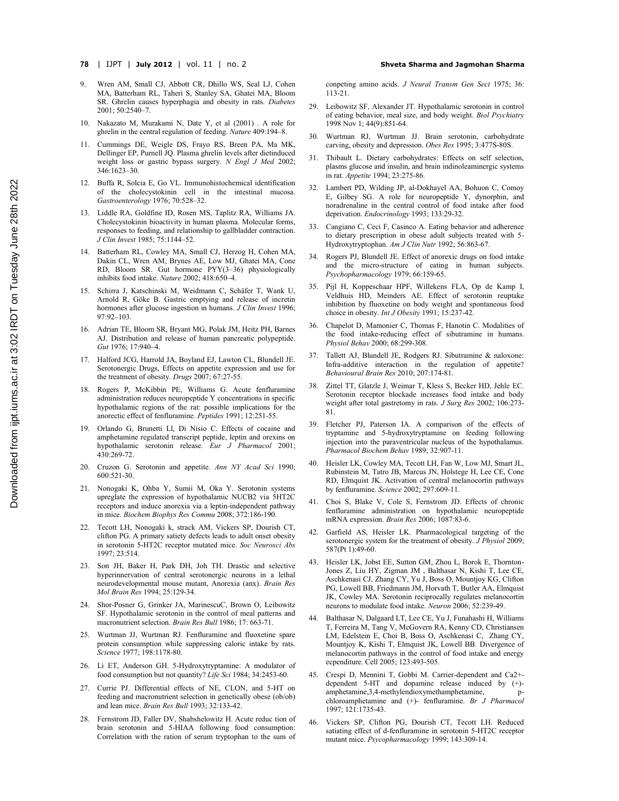- **78** | IJPT | **July 2012** | vol. 11 | no. 2 **Shveta Sharma and Jagmohan Sharma**
- 9. Wren AM, Small CJ, Abbott CR, Dhillo WS, Seal LJ, Cohen MA, Batterham RL, Taheri S, Stanley SA, Ghatei MA, Bloom SR. Ghrelin causes hyperphagia and obesity in rats. *Diabetes* 2001; 50:2540–7.
- 10. Nakazato M, Murakami N, Date Y, et al (2001) . A role for ghrelin in the central regulation of feeding. *Nature* 409:194–8.
- 11. Cummings DE, Weigle DS, Frayo RS, Breen PA, Ma MK, Dellinger EP, Purnell JQ. Plasma ghrelin levels after dietinduced weight loss or gastric bypass surgery. *N Engl J Med* 2002; 346:1623–30.
- 12. Buffa R, Solcia E, Go VL. Immunohistochemical identification of the cholecystokinin cell in the intestinal mucosa. *Gastroenterology* 1976; 70:528–32.
- 13. Liddle RA, Goldfine ID, Rosen MS, Taplitz RA, Williams JA. Cholecystokinin bioactivity in human plasma. Molecular forms, responses to feeding, and relationship to gallbladder contraction. *J Clin Invest* 1985; 75:1144–52.
- 14. Batterham RL, Cowley MA, Small CJ, Herzog H, Cohen MA, Dakin CL, Wren AM, Brynes AE, Low MJ, Ghatei MA, Cone RD, Bloom SR. Gut hormone PYY(3–36) physiologically inhibits food intake. *Nature* 2002; 418:650–4.
- 15. Schirra J, Katschinski M, Weidmann C, Schäfer T, Wank U, Arnold R, Göke B. Gastric emptying and release of incretin hormones after glucose ingestion in humans. *J Clin Invest* 1996; 97:92–103.
- 16. Adrian TE, Bloom SR, Bryant MG, Polak JM, Heitz PH, Barnes AJ. Distribution and release of human pancreatic polypeptide. *Gut* 1976; 17:940–4.
- 17. Halford JCG, Harrold JA, Boyland EJ, Lawton CL, Blundell JE. Serotonergic Drugs, Effects on appetite expression and use for the treatment of obesity. *Drugs* 2007; 67:27-55.
- 18. Rogers P, McKibbin PE, Williams G. Acute fenfluramine administration reduces neuropeptide Y concentrations in specific hypothalamic regions of the rat: possible implications for the anorectic effect of fenfluramine. *Peptides* 1991; 12:251-55.
- 19. Orlando G, Brunetti Ll, Di Nisio C. Effects of cocaine and amphetamine regulated transcript peptide, leptin and orexins on hypothalamic serotonin release. *Eur J Pharmacol* 2001; 430:269-72.
- 20. Cruzon G. Serotonin and appetite. *Ann NY Acad Sci* 1990; 600:521-30.
- 21. Nonogaki K, Ohba Y, Sumii M, Oka Y. Serotonin systems upreglate the expression of hypothalamic NUCB2 via 5HT2C receptors and induce anorexia via a leptin-independent pathway in mice. *Biochem Biophys Res Commu* 2008; 372:186-190.
- 22. Tecott LH, Nonogaki k, strack AM, Vickers SP, Dourish CT, clifton PG. A primary satiety defects leads to adult onset obesity in serotonin 5-HT2C receptor mutated mice. *Soc Neurosci Abs* 1997; 23:514.
- 23. Son JH, Baker H, Park DH, Joh TH. Drastic and selective hyperinnervation of central serotonergic neurons in a lethal neurodevelopmental mouse mutant, Anorexia (anx). *Brain Res Mol Brain Res* 1994; 25:129-34.
- 24. Shor-Posner G, Grinker JA, MarinescuC, Brown O, Leibowitz SF. Hypothalamic serotonin in the control of meal patterns and macronutrient selection. *Brain Res Bull* 1986; 17: 663-71.
- 25. Wurtman JJ, Wurtman RJ. Fenfluramine and fluoxetine spare protein consumption while suppressing caloric intake by rats. *Science* 1977; 198:1178-80.
- 26. Li ET, Anderson GH. 5-Hydroxytryptamine: A modulator of food consumption but not quantity? *Life Sci* 1984; 34:2453-60.
- 27. Currie PJ. Differential effects of NE, CLON, and 5-HT on feeding and macronutrient selection in genetically obese (ob/ob) and lean mice. *Brain Res Bull* 1993; 32:133-42.
- 28. Fernstrom JD, Faller DV, Shabshelowitz H. Acute reduc tion of brain serotonin and 5-HIAA following food consumption: Correlation with the ration of serum tryptophan to the sum of

conpeting amino acids. *J Neural Transm Gen Sect* 1975; 36: 113-21.

- 29. Leibowitz SF, Alexander JT. Hypothalamic serotonin in control of eating behavior, meal size, and body weight. *Biol Psychiatry* 1998 Nov 1; 44(9):851-64.
- 30. Wurtman RJ, Wurtman JJ. Brain serotonin, carbohydrate carving, obesity and depression. *Obes Res* 1995; 3:477S-80S.
- Thibault L. Dietary carbohydrates: Effects on self selection, plasms glucose and insulin, and brain indinoleaminergic systems in rat. *Appetite* 1994; 23:275-86.
- 32. Lambert PD, Wilding JP, al-Dokhayel AA, Bohuon C, Comoy E, Gilbey SG. A role for neuropeptide Y, dynorphin, and noradrenaline in the central control of food intake after food deprivation. *Endocrinology* 1993; 133:29-32.
- 33. Cangiano C, Ceci F, Casinco A. Eating behavior and adherence to dietary prescription in obese adult subjects treated with 5- Hydroxytryptophan. *Am J Clin Nutr* 1992; 56:863-67.
- 34. Rogers PJ, Blundell JE. Effect of anorexic drugs on food intake and the micro-structure of eating in human subjects. *Psychopharmacology* 1979; 66:159-65.
- 35. Pijl H, Koppeschaar HPF, Willekens FLA, Op de Kamp I, Veldhuis HD, Meinders AE. Effect of serotonin reuptake inhibition by fluoxetine on body weight and spontaneous food choice in obesity. *Int J Obesity* 1991; 15:237-42.
- 36. Chapelot D, Mamonier C, Thomas F, Hanotin C. Modalities of the food intake-reducing effect of sibutramine in humans. *Physiol Behav* 2000; 68:299-308.
- 37. Tallett AJ, Blundell JE, Rodgers RJ. Sibutramine & naloxone: Infra-additive interaction in the regulation of appetite? *Behavioural Brain Res* 2010; 207:174-81.
- 38. Zittel TT, Glatzle J, Weimar T, Kless S, Becker HD, Jehle EC. Serotonin receptor blockade increases food intake and body weight after total gastretomy in rats. *J Surg Res* 2002; 106:273- 81.
- 39. Fletcher PJ, Paterson IA. A comparison of the effects of tryptamine and 5-hydroxytryptamine on feeding following injection into the paraventricular nucleus of the hypothalamus. *Pharmacol Biochem Behav* 1989; 32:907-11.
- 40. Heisler LK, Cowley MA, Tecott LH, Fan W, Low MJ, Smart JL, Rubinstein M, Tatro JB, Marcus JN, Holstege H, Lee CE, Cone RD, Elmquist JK. Activation of central melanocortin pathways by fenfluramine. *Science* 2002; 297:609-11.
- 41. Choi S, Blake V, Cole S, Fernstrom JD. Effects of chronic fenfluramine administration on hypothalamic neuropeptide mRNA expression. *Brain Res* 2006; 1087:83-6.
- 42. Garfield AS, Heisler LK. Pharmacological targeting of the serotonergic system for the treatment of obesity. *J Physiol* 2009; 587(Pt 1):49-60.
- 43. Heisler LK, Jobst EE, Sutton GM, Zhou L, Borok E, Thornton-Jones Z, Liu HY, Zigman JM , Balthasar N, Kishi T, Lee CE, Aschkenasi CJ, Zhang CY, Yu J, Boss O, Mountjoy KG, Clifton PG, Lowell BB, Friedmann JM, Horvath T, Butler AA, Elmquist JK, Cowley MA. Serotonin reciprocally regulates melanocortin neurons to modulate food intake. *Neuron* 2006; 52:239-49.
- 44. Balthasar N, Dalgaard LT, Lee CE, Yu J, Funahashi H, Williams T, Ferreira M, Tang V, McGovern RA, Kenny CD, Christiansen LM, Edelstein E, Choi B, Boss O, Aschkenasi C, Zhang CY, Mountjoy K, Kishi T, Elmquist JK, Lowell BB. Divergence of melanocortin pathways in the control of food intake and energy ecpenditure. Cell 2005; 123:493-505.
- 45. Crespi D, Mennini T, Gobbi M. Carrier-dependent and Ca2+ dependent 5-HT and dopamine release induced by (+) amphetamine,3,4-methylendioxymethamphetamine, pchloroamphetamine and (+)- fenfluramine. *Br J Pharmacol* 1997; 121:1735-43.
- 46. Vickers SP, Clifton PG, Dourish CT, Tecott LH. Reduced satiating effect of d-fenfluramine in serotonin 5-HT2C receptor mutant mice. *Psycopharmacology* 1999; 143:309-14.